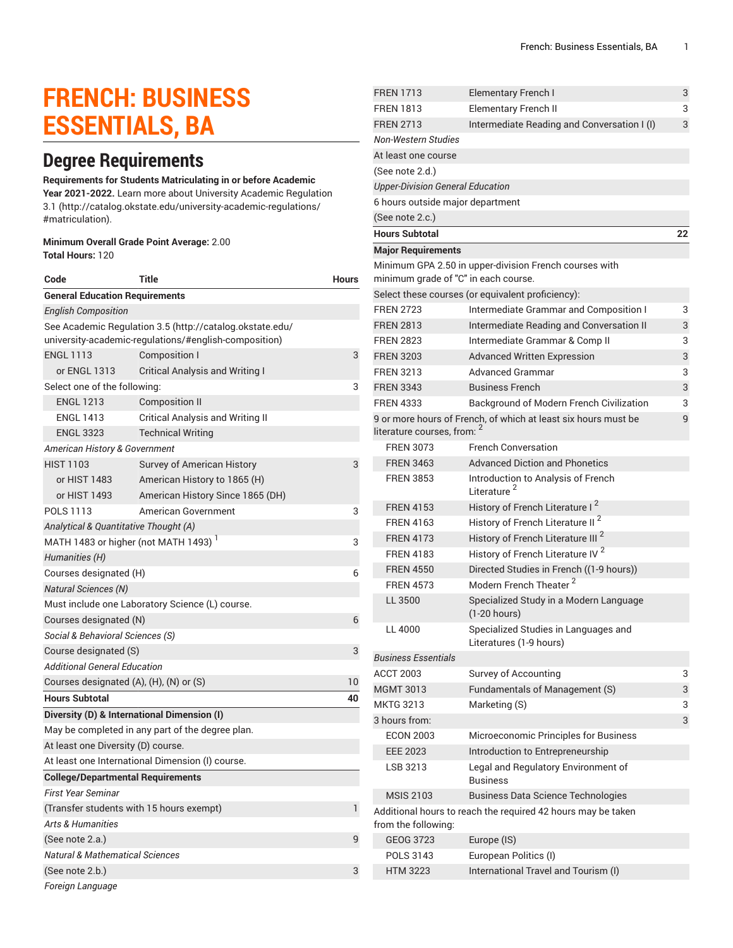# **FRENCH: BUSINESS ESSENTIALS, BA**

# **Degree Requirements**

#### **Requirements for Students Matriculating in or before Academic**

**Year 2021-2022.** Learn more about University Academic [Regulation](http://catalog.okstate.edu/university-academic-regulations/#matriculation) [3.1](http://catalog.okstate.edu/university-academic-regulations/#matriculation) ([http://catalog.okstate.edu/university-academic-regulations/](http://catalog.okstate.edu/university-academic-regulations/#matriculation) [#matriculation\)](http://catalog.okstate.edu/university-academic-regulations/#matriculation).

#### **Minimum Overall Grade Point Average:** 2.00 **Total Hours:** 120

| Code                                             | Title                                                                                                             | <b>Hours</b> |  |  |  |
|--------------------------------------------------|-------------------------------------------------------------------------------------------------------------------|--------------|--|--|--|
| <b>General Education Requirements</b>            |                                                                                                                   |              |  |  |  |
| <b>English Composition</b>                       |                                                                                                                   |              |  |  |  |
|                                                  | See Academic Regulation 3.5 (http://catalog.okstate.edu/<br>university-academic-regulations/#english-composition) |              |  |  |  |
| <b>ENGL 1113</b>                                 | Composition I                                                                                                     | 3            |  |  |  |
| or ENGL 1313                                     | <b>Critical Analysis and Writing I</b>                                                                            |              |  |  |  |
| Select one of the following:                     |                                                                                                                   |              |  |  |  |
| <b>ENGL 1213</b>                                 | <b>Composition II</b>                                                                                             |              |  |  |  |
| <b>ENGL 1413</b>                                 | <b>Critical Analysis and Writing II</b>                                                                           |              |  |  |  |
| <b>ENGL 3323</b>                                 | <b>Technical Writing</b>                                                                                          |              |  |  |  |
| American History & Government                    |                                                                                                                   |              |  |  |  |
| <b>HIST 1103</b>                                 | Survey of American History                                                                                        | 3            |  |  |  |
| or HIST 1483                                     | American History to 1865 (H)                                                                                      |              |  |  |  |
| or HIST 1493                                     | American History Since 1865 (DH)                                                                                  |              |  |  |  |
| POLS 1113                                        | American Government                                                                                               | 3            |  |  |  |
| Analytical & Quantitative Thought (A)            |                                                                                                                   |              |  |  |  |
| MATH 1483 or higher (not MATH 1493) <sup>1</sup> |                                                                                                                   |              |  |  |  |
| Humanities (H)                                   |                                                                                                                   |              |  |  |  |
| Courses designated (H)                           |                                                                                                                   |              |  |  |  |
| <b>Natural Sciences (N)</b>                      |                                                                                                                   |              |  |  |  |
| Must include one Laboratory Science (L) course.  |                                                                                                                   |              |  |  |  |
| Courses designated (N)                           |                                                                                                                   |              |  |  |  |
| Social & Behavioral Sciences (S)                 |                                                                                                                   |              |  |  |  |
| Course designated (S)                            |                                                                                                                   |              |  |  |  |
| <b>Additional General Education</b>              |                                                                                                                   |              |  |  |  |
| Courses designated (A), (H), (N) or (S)          |                                                                                                                   |              |  |  |  |
| <b>Hours Subtotal</b>                            |                                                                                                                   | 40           |  |  |  |
| Diversity (D) & International Dimension (I)      |                                                                                                                   |              |  |  |  |
|                                                  | May be completed in any part of the degree plan.                                                                  |              |  |  |  |
| At least one Diversity (D) course.               |                                                                                                                   |              |  |  |  |
| At least one International Dimension (I) course. |                                                                                                                   |              |  |  |  |
| <b>College/Departmental Requirements</b>         |                                                                                                                   |              |  |  |  |
| First Year Seminar                               |                                                                                                                   |              |  |  |  |
| (Transfer students with 15 hours exempt)         | 1                                                                                                                 |              |  |  |  |
| Arts & Humanities                                |                                                                                                                   |              |  |  |  |
| (See note 2.a.)                                  | 9                                                                                                                 |              |  |  |  |
| <b>Natural &amp; Mathematical Sciences</b>       |                                                                                                                   |              |  |  |  |
| (See note 2.b.)                                  |                                                                                                                   |              |  |  |  |
| Foreign Language                                 |                                                                                                                   |              |  |  |  |

| <b>FREN 1713</b>                        | <b>Elementary French I</b>                                      | 3  |
|-----------------------------------------|-----------------------------------------------------------------|----|
| <b>FREN 1813</b>                        | <b>Elementary French II</b>                                     | 3  |
| <b>FREN 2713</b>                        | Intermediate Reading and Conversation I (I)                     | 3  |
| Non-Western Studies                     |                                                                 |    |
| At least one course                     |                                                                 |    |
| (See note 2.d.)                         |                                                                 |    |
| <b>Upper-Division General Education</b> |                                                                 |    |
| 6 hours outside major department        |                                                                 |    |
| (See note 2.c.)                         |                                                                 |    |
| <b>Hours Subtotal</b>                   |                                                                 | 22 |
| <b>Major Requirements</b>               |                                                                 |    |
|                                         | Minimum GPA 2.50 in upper-division French courses with          |    |
| minimum grade of "C" in each course.    |                                                                 |    |
|                                         | Select these courses (or equivalent proficiency):               |    |
| <b>FREN 2723</b>                        | Intermediate Grammar and Composition I                          | 3  |
| <b>FREN 2813</b>                        | Intermediate Reading and Conversation II                        | 3  |
| <b>FREN 2823</b>                        | Intermediate Grammar & Comp II                                  | 3  |
| <b>FREN 3203</b>                        | <b>Advanced Written Expression</b>                              | 3  |
| <b>FREN 3213</b>                        | <b>Advanced Grammar</b>                                         | 3  |
| <b>FREN 3343</b>                        | <b>Business French</b>                                          | 3  |
| <b>FREN 4333</b>                        | Background of Modern French Civilization                        | 3  |
|                                         | 9 or more hours of French, of which at least six hours must be  | 9  |
| literature courses, from: 2             |                                                                 |    |
| <b>FREN 3073</b>                        | <b>French Conversation</b>                                      |    |
| <b>FREN 3463</b>                        | <b>Advanced Diction and Phonetics</b>                           |    |
| <b>FREN 3853</b>                        | Introduction to Analysis of French<br>Literature <sup>2</sup>   |    |
| <b>FREN 4153</b>                        | History of French Literature I <sup>2</sup>                     |    |
| <b>FREN 4163</b>                        | History of French Literature II <sup>2</sup>                    |    |
| <b>FREN 4173</b>                        | History of French Literature III <sup>2</sup>                   |    |
| <b>FREN 4183</b>                        | History of French Literature IV <sup>2</sup>                    |    |
| <b>FREN 4550</b>                        | Directed Studies in French ((1-9 hours))                        |    |
| <b>FREN 4573</b>                        | Modern French Theater <sup>2</sup>                              |    |
| LL 3500                                 | Specialized Study in a Modern Language<br>$(1-20 hours)$        |    |
| LL 4000                                 | Specialized Studies in Languages and<br>Literatures (1-9 hours) |    |
| <b>Business Essentials</b>              |                                                                 |    |
| <b>ACCT 2003</b>                        | Survey of Accounting                                            | 3  |
| <b>MGMT 3013</b>                        | Fundamentals of Management (S)                                  | 3  |
| <b>MKTG 3213</b>                        | Marketing (S)                                                   | 3  |
| 3 hours from:                           |                                                                 | 3  |
| <b>ECON 2003</b>                        | Microeconomic Principles for Business                           |    |
| <b>EEE 2023</b>                         | Introduction to Entrepreneurship                                |    |
| LSB 3213                                | Legal and Regulatory Environment of<br><b>Business</b>          |    |
| <b>MSIS 2103</b>                        | <b>Business Data Science Technologies</b>                       |    |
|                                         | Additional hours to reach the required 42 hours may be taken    |    |
| from the following:                     |                                                                 |    |
| GEOG 3723                               | Europe (IS)                                                     |    |
| POLS 3143                               | European Politics (I)                                           |    |
| HTM 3223                                | International Travel and Tourism (I)                            |    |
|                                         |                                                                 |    |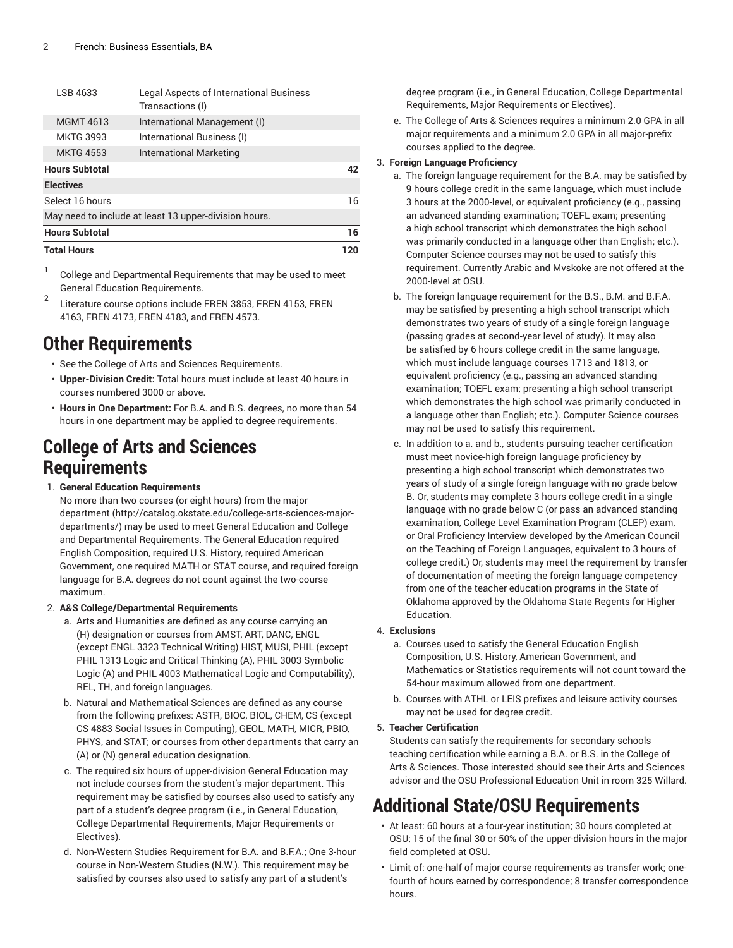|                                                             | <b>Hours Subtotal</b><br><b>Total Hours</b> |                                                             |    |  |
|-------------------------------------------------------------|---------------------------------------------|-------------------------------------------------------------|----|--|
| May need to include at least 13 upper-division hours.<br>16 |                                             |                                                             |    |  |
|                                                             |                                             |                                                             |    |  |
|                                                             | Select 16 hours                             |                                                             | 16 |  |
|                                                             | <b>Electives</b>                            |                                                             |    |  |
|                                                             | <b>Hours Subtotal</b>                       |                                                             |    |  |
|                                                             | <b>MKTG 4553</b>                            | International Marketing                                     |    |  |
|                                                             | <b>MKTG 3993</b>                            | International Business (I)                                  |    |  |
|                                                             | <b>MGMT 4613</b>                            | International Management (I)                                |    |  |
|                                                             | LSB 4633                                    | Legal Aspects of International Business<br>Transactions (I) |    |  |

- 1 College and Departmental Requirements that may be used to meet General Education Requirements.
- 2 Literature course options include FREN 3853, FREN 4153, FREN 4163, FREN 4173, FREN 4183, and FREN 4573.

### **Other Requirements**

- See the College of Arts and Sciences Requirements.
- **Upper-Division Credit:** Total hours must include at least 40 hours in courses numbered 3000 or above.
- **Hours in One Department:** For B.A. and B.S. degrees, no more than 54 hours in one department may be applied to degree requirements.

### **College of Arts and Sciences Requirements**

1. **General Education Requirements**

No more than two courses (or eight hours) from [the major](http://catalog.okstate.edu/college-arts-sciences-major-departments/) [department \(http://catalog.okstate.edu/college-arts-sciences-major](http://catalog.okstate.edu/college-arts-sciences-major-departments/)[departments/](http://catalog.okstate.edu/college-arts-sciences-major-departments/)) may be used to meet General Education and College and Departmental Requirements. The General Education required English Composition, required U.S. History, required American Government, one required MATH or STAT course, and required foreign language for B.A. degrees do not count against the two-course maximum.

- 2. **A&S College/Departmental Requirements**
	- a. Arts and Humanities are defined as any course carrying an (H) designation or courses from AMST, ART, DANC, ENGL (except ENGL 3323 Technical Writing) HIST, MUSI, PHIL (except PHIL 1313 Logic and Critical Thinking (A), PHIL 3003 Symbolic Logic (A) and PHIL 4003 Mathematical Logic and Computability), REL, TH, and foreign languages.
	- b. Natural and Mathematical Sciences are defined as any course from the following prefixes: ASTR, BIOC, BIOL, CHEM, CS (except CS 4883 Social Issues in Computing), GEOL, MATH, MICR, PBIO, PHYS, and STAT; or courses from other departments that carry an (A) or (N) general education designation.
	- c. The required six hours of upper-division General Education may not include courses from the student's major department. This requirement may be satisfied by courses also used to satisfy any part of a student's degree program (i.e., in General Education, College Departmental Requirements, Major Requirements or Electives).
	- d. Non-Western Studies Requirement for B.A. and B.F.A.; One 3-hour course in Non-Western Studies (N.W.). This requirement may be satisfied by courses also used to satisfy any part of a student's

degree program (i.e., in General Education, College Departmental Requirements, Major Requirements or Electives).

e. The College of Arts & Sciences requires a minimum 2.0 GPA in all major requirements and a minimum 2.0 GPA in all major-prefix courses applied to the degree.

### 3. **Foreign Language Proficiency**

- a. The foreign language requirement for the B.A. may be satisfied by 9 hours college credit in the same language, which must include 3 hours at the 2000-level, or equivalent proficiency (e.g., passing an advanced standing examination; TOEFL exam; presenting a high school transcript which demonstrates the high school was primarily conducted in a language other than English; etc.). Computer Science courses may not be used to satisfy this requirement. Currently Arabic and Mvskoke are not offered at the 2000-level at OSU.
- b. The foreign language requirement for the B.S., B.M. and B.F.A. may be satisfied by presenting a high school transcript which demonstrates two years of study of a single foreign language (passing grades at second-year level of study). It may also be satisfied by 6 hours college credit in the same language, which must include language courses 1713 and 1813, or equivalent proficiency (e.g., passing an advanced standing examination; TOEFL exam; presenting a high school transcript which demonstrates the high school was primarily conducted in a language other than English; etc.). Computer Science courses may not be used to satisfy this requirement.
- c. In addition to a. and b., students pursuing teacher certification must meet novice-high foreign language proficiency by presenting a high school transcript which demonstrates two years of study of a single foreign language with no grade below B. Or, students may complete 3 hours college credit in a single language with no grade below C (or pass an advanced standing examination, College Level Examination Program (CLEP) exam, or Oral Proficiency Interview developed by the American Council on the Teaching of Foreign Languages, equivalent to 3 hours of college credit.) Or, students may meet the requirement by transfer of documentation of meeting the foreign language competency from one of the teacher education programs in the State of Oklahoma approved by the Oklahoma State Regents for Higher Education.

### 4. **Exclusions**

- a. Courses used to satisfy the General Education English Composition, U.S. History, American Government, and Mathematics or Statistics requirements will not count toward the 54-hour maximum allowed from one department.
- b. Courses with ATHL or LEIS prefixes and leisure activity courses may not be used for degree credit.

### 5. **Teacher Certification**

Students can satisfy the requirements for secondary schools teaching certification while earning a B.A. or B.S. in the College of Arts & Sciences. Those interested should see their Arts and Sciences advisor and the OSU Professional Education Unit in room 325 Willard.

## **Additional State/OSU Requirements**

- At least: 60 hours at a four-year institution; 30 hours completed at OSU; 15 of the final 30 or 50% of the upper-division hours in the major field completed at OSU.
- Limit of: one-half of major course requirements as transfer work; onefourth of hours earned by correspondence; 8 transfer correspondence hours.